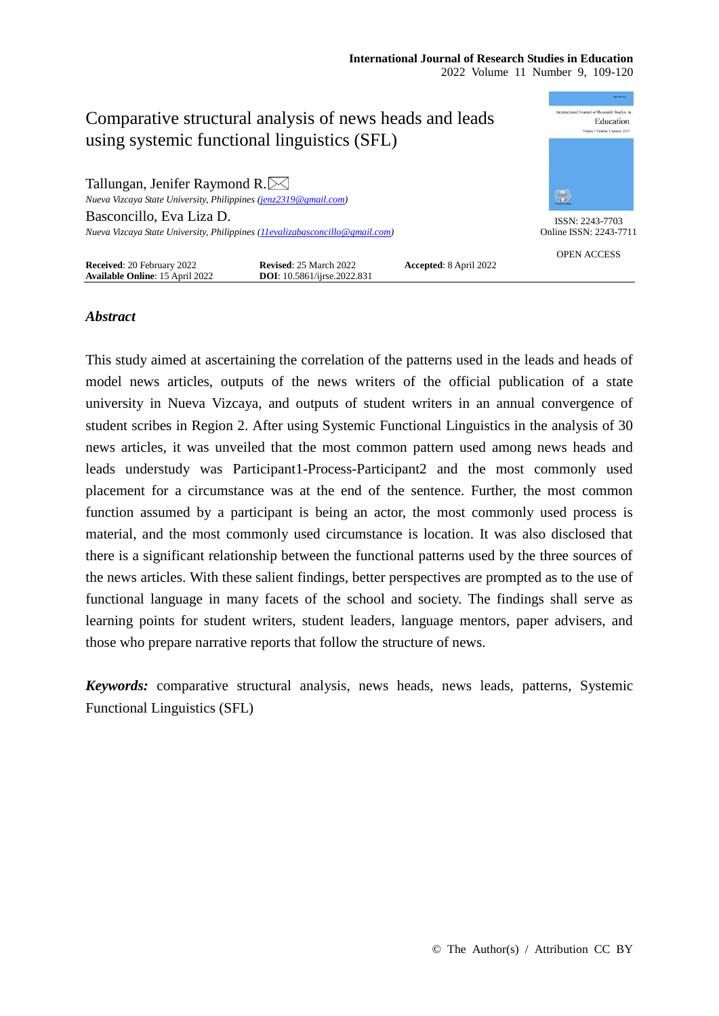#### **International Journal of Research Studies in Education** 2022 Volume 11 Number 9, 109-120



# *Abstract*

This study aimed at ascertaining the correlation of the patterns used in the leads and heads of model news articles, outputs of the news writers of the official publication of a state university in Nueva Vizcaya, and outputs of student writers in an annual convergence of student scribes in Region 2. After using Systemic Functional Linguistics in the analysis of 30 news articles, it was unveiled that the most common pattern used among news heads and leads understudy was Participant1-Process-Participant2 and the most commonly used placement for a circumstance was at the end of the sentence. Further, the most common function assumed by a participant is being an actor, the most commonly used process is material, and the most commonly used circumstance is location. It was also disclosed that there is a significant relationship between the functional patterns used by the three sources of the news articles. With these salient findings, better perspectives are prompted as to the use of functional language in many facets of the school and society. The findings shall serve as learning points for student writers, student leaders, language mentors, paper advisers, and those who prepare narrative reports that follow the structure of news.

*Keywords:* comparative structural analysis, news heads, news leads, patterns, Systemic Functional Linguistics (SFL)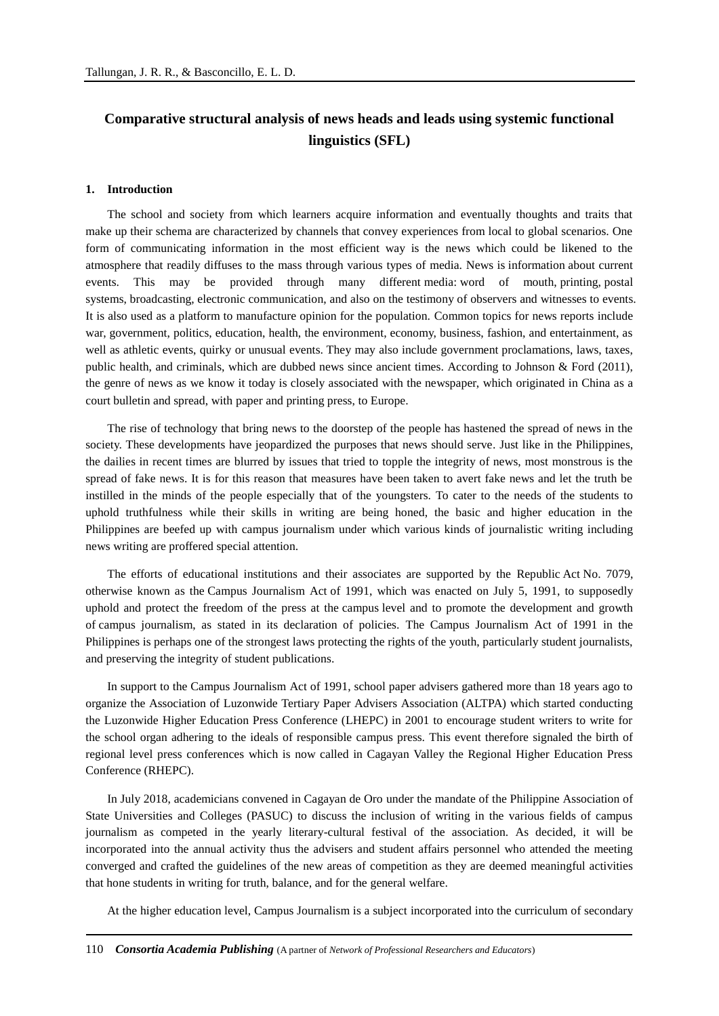# **Comparative structural analysis of news heads and leads using systemic functional linguistics (SFL)**

#### **1. Introduction**

The school and society from which learners acquire information and eventually thoughts and traits that make up their schema are characterized by channels that convey experiences from local to global scenarios. One form of communicating information in the most efficient way is the news which could be likened to the atmosphere that readily diffuses to the mass through various types of media. News is information about current events. This may be provided through many different media: word of mouth, printing, postal systems, broadcasting, electronic communication, and also on the testimony of observers and witnesses to events. It is also used as a platform to manufacture opinion for the population. Common topics for news reports include war, government, politics, education, health, the environment, economy, business, fashion, and entertainment, as well as athletic events, quirky or unusual events. They may also include government proclamations, laws, taxes, public health, and criminals, which are dubbed news since ancient times. According to Johnson & Ford (2011), the genre of news as we know it today is closely associated with the newspaper, which originated in China as a court bulletin and spread, with paper and printing press, to Europe.

The rise of technology that bring news to the doorstep of the people has hastened the spread of news in the society. These developments have jeopardized the purposes that news should serve. Just like in the Philippines, the dailies in recent times are blurred by issues that tried to topple the integrity of news, most monstrous is the spread of fake news. It is for this reason that measures have been taken to avert fake news and let the truth be instilled in the minds of the people especially that of the youngsters. To cater to the needs of the students to uphold truthfulness while their skills in writing are being honed, the basic and higher education in the Philippines are beefed up with campus journalism under which various kinds of journalistic writing including news writing are proffered special attention.

The efforts of educational institutions and their associates are supported by the Republic Act No. 7079, otherwise known as the Campus Journalism Act of 1991, which was enacted on July 5, 1991, to supposedly uphold and protect the freedom of the press at the campus level and to promote the development and growth of campus journalism, as stated in its declaration of policies. The Campus Journalism Act of 1991 in the Philippines is perhaps one of the strongest laws protecting the rights of the youth, particularly student journalists, and preserving the integrity of student publications.

In support to the Campus Journalism Act of 1991, school paper advisers gathered more than 18 years ago to organize the Association of Luzonwide Tertiary Paper Advisers Association (ALTPA) which started conducting the Luzonwide Higher Education Press Conference (LHEPC) in 2001 to encourage student writers to write for the school organ adhering to the ideals of responsible campus press. This event therefore signaled the birth of regional level press conferences which is now called in Cagayan Valley the Regional Higher Education Press Conference (RHEPC).

In July 2018, academicians convened in Cagayan de Oro under the mandate of the Philippine Association of State Universities and Colleges (PASUC) to discuss the inclusion of writing in the various fields of campus journalism as competed in the yearly literary-cultural festival of the association. As decided, it will be incorporated into the annual activity thus the advisers and student affairs personnel who attended the meeting converged and crafted the guidelines of the new areas of competition as they are deemed meaningful activities that hone students in writing for truth, balance, and for the general welfare.

At the higher education level, Campus Journalism is a subject incorporated into the curriculum of secondary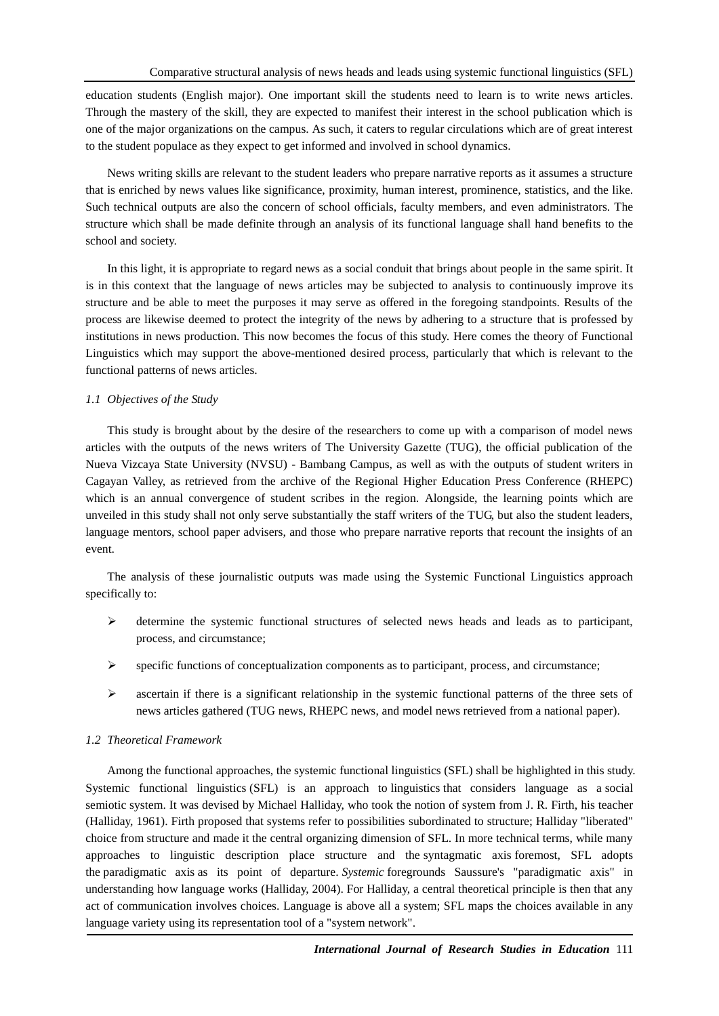education students (English major). One important skill the students need to learn is to write news articles. Through the mastery of the skill, they are expected to manifest their interest in the school publication which is one of the major organizations on the campus. As such, it caters to regular circulations which are of great interest to the student populace as they expect to get informed and involved in school dynamics.

News writing skills are relevant to the student leaders who prepare narrative reports as it assumes a structure that is enriched by news values like significance, proximity, human interest, prominence, statistics, and the like. Such technical outputs are also the concern of school officials, faculty members, and even administrators. The structure which shall be made definite through an analysis of its functional language shall hand benefits to the school and society.

In this light, it is appropriate to regard news as a social conduit that brings about people in the same spirit. It is in this context that the language of news articles may be subjected to analysis to continuously improve its structure and be able to meet the purposes it may serve as offered in the foregoing standpoints. Results of the process are likewise deemed to protect the integrity of the news by adhering to a structure that is professed by institutions in news production. This now becomes the focus of this study. Here comes the theory of Functional Linguistics which may support the above-mentioned desired process, particularly that which is relevant to the functional patterns of news articles.

# *1.1 Objectives of the Study*

This study is brought about by the desire of the researchers to come up with a comparison of model news articles with the outputs of the news writers of The University Gazette (TUG), the official publication of the Nueva Vizcaya State University (NVSU) - Bambang Campus, as well as with the outputs of student writers in Cagayan Valley, as retrieved from the archive of the Regional Higher Education Press Conference (RHEPC) which is an annual convergence of student scribes in the region. Alongside, the learning points which are unveiled in this study shall not only serve substantially the staff writers of the TUG, but also the student leaders, language mentors, school paper advisers, and those who prepare narrative reports that recount the insights of an event.

The analysis of these journalistic outputs was made using the Systemic Functional Linguistics approach specifically to:

- $\triangleright$  determine the systemic functional structures of selected news heads and leads as to participant, process, and circumstance;
- $\triangleright$  specific functions of conceptualization components as to participant, process, and circumstance;
- $\triangleright$  ascertain if there is a significant relationship in the systemic functional patterns of the three sets of news articles gathered (TUG news, RHEPC news, and model news retrieved from a national paper).

# *1.2 Theoretical Framework*

Among the functional approaches, the systemic functional linguistics (SFL) shall be highlighted in this study. Systemic functional linguistics (SFL) is an approach to [linguistics](https://en.wikipedia.org/wiki/Linguistics) that considers language as a [social](https://en.wikipedia.org/wiki/Social_semiotics)  [semiotic](https://en.wikipedia.org/wiki/Social_semiotics) system. It was devised by [Michael Halliday,](https://en.wikipedia.org/wiki/Michael_Halliday) who took the notion of system from [J. R. Firth,](https://en.wikipedia.org/wiki/J._R._Firth) his teacher (Halliday, 1961). Firth proposed that systems refer to possibilities subordinated to structure; Halliday "liberated" choice from structure and made it the central organizing dimension of SFL. In more technical terms, while many approaches to linguistic description place structure and the [syntagmatic axis](https://en.wikipedia.org/wiki/Syntagmatic_analysis) foremost, SFL adopts the [paradigmatic axis](https://en.wikipedia.org/wiki/Paradigmatic_analysis) as its point of departure. *Systemic* foregrounds Saussure's "paradigmatic axis" in understanding how language works (Halliday, 2004). For Halliday, a central theoretical principle is then that any act of communication involves choices. Language is above all a [system;](https://en.wikipedia.org/wiki/Linguistic_system) SFL maps the choices available in any language variety using its representation tool of a "system network".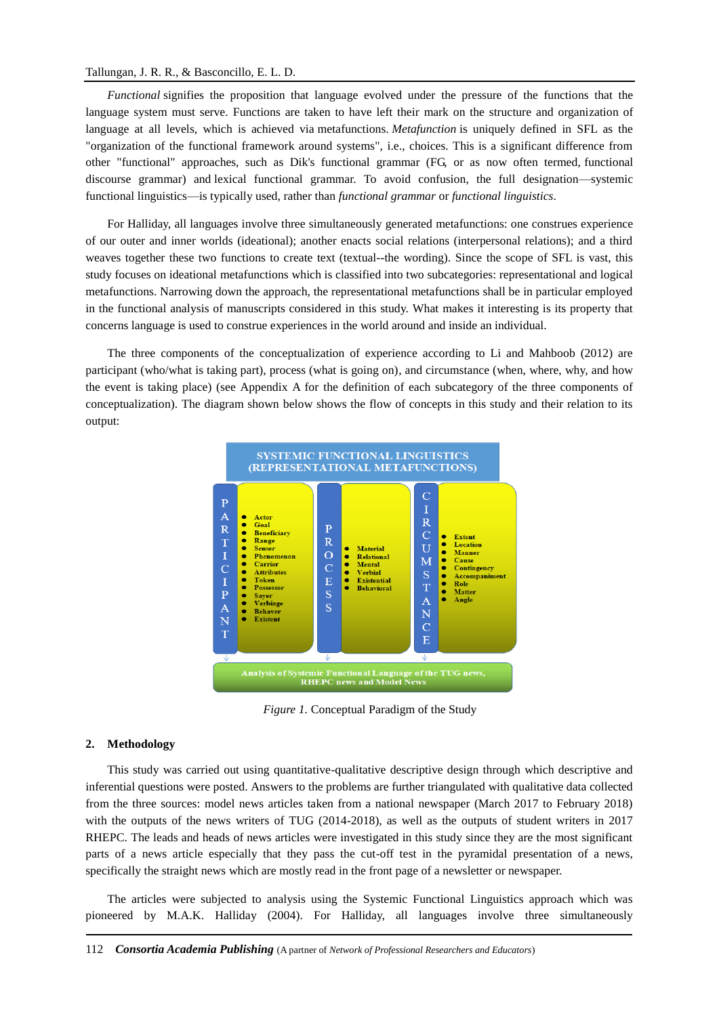#### Tallungan, J. R. R., & Basconcillo, E. L. D.

*Functional* signifies the proposition that language evolved under the pressure of the functions that the language system must serve. Functions are taken to have left their mark on the structure and organization of language at all levels, which is achieved via [metafunctions.](https://en.wikipedia.org/wiki/Metafunctions) *Metafunction* is uniquely defined in SFL as the "organization of the functional framework around systems", i.e., choices. This is a significant difference from other "functional" approaches, such as Dik's functional grammar (FG, or as now often termed, [functional](https://en.wikipedia.org/wiki/Functional_discourse_grammar)  [discourse grammar\)](https://en.wikipedia.org/wiki/Functional_discourse_grammar) and [lexical functional grammar.](https://en.wikipedia.org/wiki/Lexical_functional_grammar) To avoid confusion, the full designation—systemic functional linguistics—is typically used, rather than *functional grammar* or *functional linguistics*.

For Halliday, all languages involve three simultaneously generated [metafunctions:](https://en.wikipedia.org/wiki/Metafunctions) one construes experience of our outer and inner worlds (ideational); another enacts social relations (interpersonal relations); and a third weaves together these two functions to create text (textual--the wording). Since the scope of SFL is vast, this study focuses on ideational [metafunctions](https://en.wikipedia.org/wiki/Metafunctions) which is classified into two subcategories: representational and logical [metafunctions.](https://en.wikipedia.org/wiki/Metafunctions) Narrowing down the approach, the representational metafunctions shall be in particular employed in the functional analysis of manuscripts considered in this study. What makes it interesting is its property that concerns language is used to construe experiences in the world around and inside an individual.

The three components of the conceptualization of experience according to Li and Mahboob (2012) are participant (who/what is taking part), process (what is going on), and circumstance (when, where, why, and how the event is taking place) (see Appendix A for the definition of each subcategory of the three components of conceptualization). The diagram shown below shows the flow of concepts in this study and their relation to its output:



*Figure 1.* Conceptual Paradigm of the Study

#### **2. Methodology**

This study was carried out using quantitative-qualitative descriptive design through which descriptive and inferential questions were posted. Answers to the problems are further triangulated with qualitative data collected from the three sources: model news articles taken from a national newspaper (March 2017 to February 2018) with the outputs of the news writers of TUG (2014-2018), as well as the outputs of student writers in 2017 RHEPC. The leads and heads of news articles were investigated in this study since they are the most significant parts of a news article especially that they pass the cut-off test in the pyramidal presentation of a news, specifically the straight news which are mostly read in the front page of a newsletter or newspaper.

The articles were subjected to analysis using the Systemic Functional Linguistics approach which was pioneered by M.A.K. Halliday (2004). For Halliday, all languages involve three simultaneously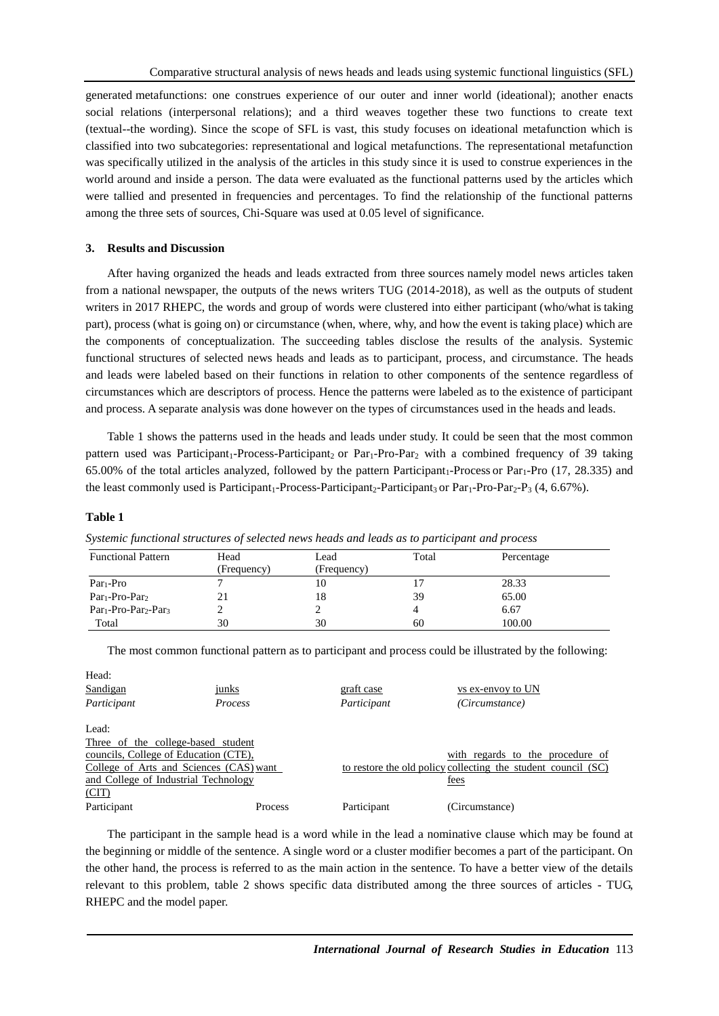generated [metafunctions:](https://en.wikipedia.org/wiki/Metafunctions) one construes experience of our outer and inner world (ideational); another enacts social relations (interpersonal relations); and a third weaves together these two functions to create text (textual--the wording). Since the scope of SFL is vast, this study focuses on ideational metafunction which is classified into two subcategories: representational and logical metafunctions. The representational metafunction was specifically utilized in the analysis of the articles in this study since it is used to construe experiences in the world around and inside a person. The data were evaluated as the functional patterns used by the articles which were tallied and presented in frequencies and percentages. To find the relationship of the functional patterns among the three sets of sources, Chi-Square was used at 0.05 level of significance.

# **3. Results and Discussion**

After having organized the heads and leads extracted from three sources namely model news articles taken from a national newspaper, the outputs of the news writers TUG (2014-2018), as well as the outputs of student writers in 2017 RHEPC, the words and group of words were clustered into either participant (who/what is taking part), process (what is going on) or circumstance (when, where, why, and how the event is taking place) which are the components of conceptualization. The succeeding tables disclose the results of the analysis. Systemic functional structures of selected news heads and leads as to participant, process, and circumstance. The heads and leads were labeled based on their functions in relation to other components of the sentence regardless of circumstances which are descriptors of process. Hence the patterns were labeled as to the existence of participant and process. A separate analysis was done however on the types of circumstances used in the heads and leads.

Table 1 shows the patterns used in the heads and leads under study. It could be seen that the most common pattern used was Participant<sub>1</sub>-Process-Participant<sub>2</sub> or Par<sub>1</sub>-Pro-Par<sub>2</sub> with a combined frequency of 39 taking 65.00% of the total articles analyzed, followed by the pattern Participant1-Process or Par1-Pro (17, 28.335) and the least commonly used is Participant<sub>1</sub>-Process-Participant<sub>2</sub>-Participant<sub>3</sub> or Par<sub>1</sub>-Pro-Par<sub>2</sub>-P<sub>3</sub> (4, 6.67%).

#### **Table 1**

| <b>Functional Pattern</b>                                | Head        | Lead        | Total | Percentage |
|----------------------------------------------------------|-------------|-------------|-------|------------|
|                                                          | (Frequency) | (Frequency) |       |            |
| $Par1-Pro$                                               |             | 1 V         |       | 28.33      |
| Par <sub>1</sub> -Pro-Par <sub>2</sub>                   |             |             | 39    | 65.00      |
| Par <sub>1</sub> -Pro-Par <sub>2</sub> -Par <sub>3</sub> |             |             |       | 6.67       |
| Total                                                    | 30          | 30          | 60    | 100.00     |

*Systemic functional structures of selected news heads and leads as to participant and process*

The most common functional pattern as to participant and process could be illustrated by the following:

| junks                                   | <u>graft case</u> | vs ex-envoy to UN                                             |
|-----------------------------------------|-------------------|---------------------------------------------------------------|
| <b>Process</b>                          | Participant       | (Circumstance)                                                |
|                                         |                   |                                                               |
| Three of the college-based student      |                   |                                                               |
| councils, College of Education (CTE),   |                   | with regards to the procedure of                              |
| College of Arts and Sciences (CAS) want |                   | to restore the old policy collecting the student council (SC) |
| and College of Industrial Technology    |                   | fees                                                          |
|                                         |                   |                                                               |
| <b>Process</b>                          | Participant       | (Circumstance)                                                |
|                                         |                   |                                                               |

The participant in the sample head is a word while in the lead a nominative clause which may be found at the beginning or middle of the sentence. A single word or a cluster modifier becomes a part of the participant. On the other hand, the process is referred to as the main action in the sentence. To have a better view of the details relevant to this problem, table 2 shows specific data distributed among the three sources of articles - TUG, RHEPC and the model paper.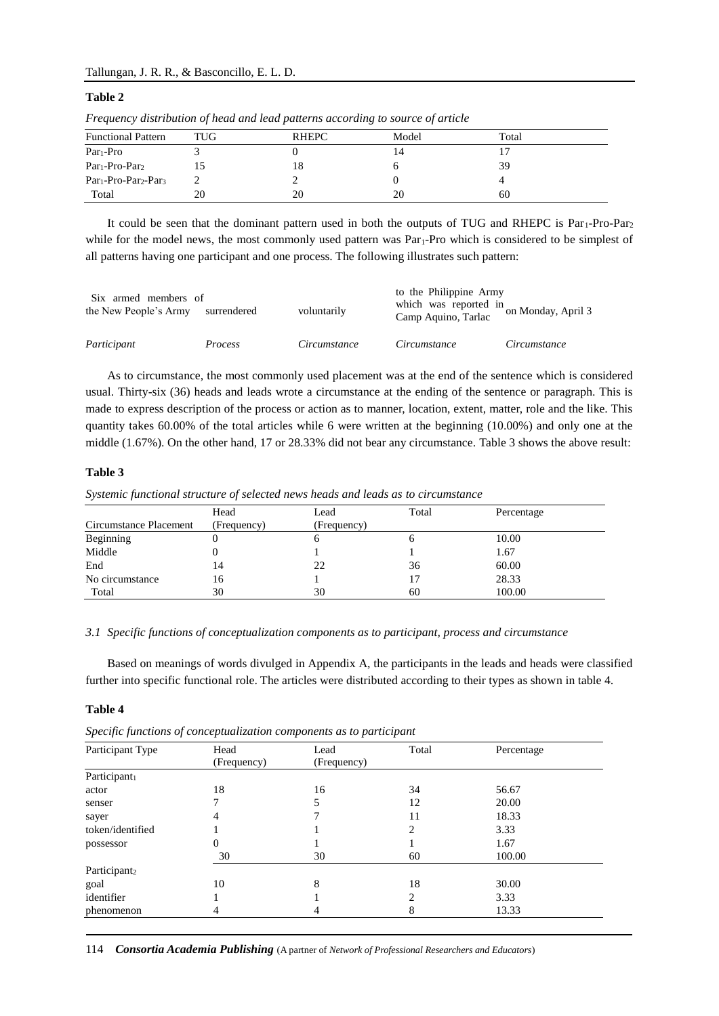#### Tallungan, J. R. R., & Basconcillo, E. L. D.

#### **Table 2**

| 1 requeste / and to allow of weally allege patterns accessing to bounded you here |     |       |       |       |  |  |
|-----------------------------------------------------------------------------------|-----|-------|-------|-------|--|--|
| <b>Functional Pattern</b>                                                         | TUG | RHEPC | Model | Total |  |  |
| $Par1-Pro$                                                                        |     |       |       |       |  |  |
| $Par1-Pro-Par2$                                                                   |     | 18    |       | 39    |  |  |
| Par <sub>1</sub> -Pro-Par <sub>2</sub> -Par <sub>3</sub>                          |     |       |       |       |  |  |
| Total                                                                             | 20  | 20    | 20    | 60    |  |  |

*Frequency distribution of head and lead patterns according to source of article*

It could be seen that the dominant pattern used in both the outputs of TUG and RHEPC is Par<sub>1</sub>-Pro-Par<sub>2</sub> while for the model news, the most commonly used pattern was Par<sub>1</sub>-Pro which is considered to be simplest of all patterns having one participant and one process. The following illustrates such pattern:

| Six armed members of<br>the New People's Army | surrendered    | voluntarily  | to the Philippine Army<br>which was reported in on Monday, April 3<br>Camp Aquino, Tarlac |              |
|-----------------------------------------------|----------------|--------------|-------------------------------------------------------------------------------------------|--------------|
| Participant                                   | <i>Process</i> | Circumstance | Circumstance                                                                              | Circumstance |

As to circumstance, the most commonly used placement was at the end of the sentence which is considered usual. Thirty-six (36) heads and leads wrote a circumstance at the ending of the sentence or paragraph. This is made to express description of the process or action as to manner, location, extent, matter, role and the like. This quantity takes 60.00% of the total articles while 6 were written at the beginning (10.00%) and only one at the middle (1.67%). On the other hand, 17 or 28.33% did not bear any circumstance. Table 3 shows the above result:

# **Table 3**

*Systemic functional structure of selected news heads and leads as to circumstance*

|                        | Head        | Lead        | Total | Percentage |
|------------------------|-------------|-------------|-------|------------|
| Circumstance Placement | (Frequency) | (Frequency) |       |            |
| Beginning              |             | n           | n     | 10.00      |
| Middle                 |             |             |       | 1.67       |
| End                    | 14          | 22          | 36    | 60.00      |
| No circumstance        | 16          |             |       | 28.33      |
| Total                  | 30          | 30          | 60    | 100.00     |

#### *3.1 Specific functions of conceptualization components as to participant, process and circumstance*

Based on meanings of words divulged in Appendix A, the participants in the leads and heads were classified further into specific functional role. The articles were distributed according to their types as shown in table 4.

# **Table 4**

|  |  | Specific functions of conceptualization components as to participant |  |
|--|--|----------------------------------------------------------------------|--|
|  |  |                                                                      |  |

| Participant Type         | Head                       | Lead | Total                       | Percentage |
|--------------------------|----------------------------|------|-----------------------------|------------|
|                          | (Frequency)<br>(Frequency) |      |                             |            |
| Participant <sub>1</sub> |                            |      |                             |            |
| actor                    | 18                         | 16   | 34                          | 56.67      |
| senser                   |                            |      | 12                          | 20.00      |
| sayer                    | 4                          |      | 11                          | 18.33      |
| token/identified         |                            |      | 2                           | 3.33       |
| possessor                | 0                          |      |                             | 1.67       |
|                          | 30                         | 30   | 60                          | 100.00     |
| Participant <sub>2</sub> |                            |      |                             |            |
| goal                     | 10                         | 8    | 18                          | 30.00      |
| identifier               |                            |      | $\mathcal{D}_{\mathcal{L}}$ | 3.33       |
| phenomenon               | 4                          |      | 8                           | 13.33      |

114 *Consortia Academia Publishing* (A partner of *Network of Professional Researchers and Educators*)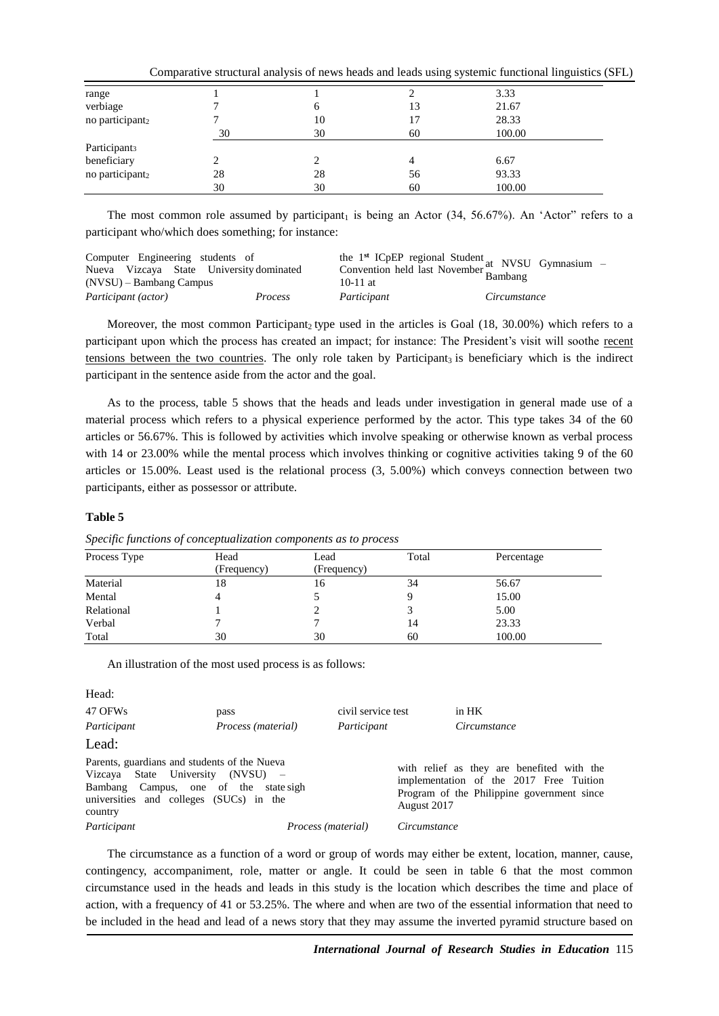|                             |    |    |    | Comparative structural analysis of news heads and leads using systemic functional linguistics (SFL) |  |
|-----------------------------|----|----|----|-----------------------------------------------------------------------------------------------------|--|
| range                       |    |    |    | 3.33                                                                                                |  |
| verbiage                    |    |    | 13 | 21.67                                                                                               |  |
| no participant <sub>2</sub> |    | 10 |    | 28.33                                                                                               |  |
|                             | 30 | 30 | 60 | 100.00                                                                                              |  |
| Participant <sub>3</sub>    |    |    |    |                                                                                                     |  |
| beneficiary                 |    |    |    | 6.67                                                                                                |  |
| no participant <sub>2</sub> | 28 | 28 | 56 | 93.33                                                                                               |  |
|                             | 30 | 30 | 60 | 100.00                                                                                              |  |

The most common role assumed by participant<sub>1</sub> is being an Actor  $(34, 56.67%)$ . An 'Actor" refers to a participant who/which does something; for instance:

| Computer Engineering students of<br>Nueva Vizcaya State University dominated<br>$(NVSU)$ – Bambang Campus |         | 10-11 at    | the 1 <sup>st</sup> ICpEP regional Student at NVSU Gymnasium<br>Convention held last November at NVSU Gymnasium |
|-----------------------------------------------------------------------------------------------------------|---------|-------------|-----------------------------------------------------------------------------------------------------------------|
| Participant (actor)                                                                                       | Process | Participant | Circumstance                                                                                                    |

Moreover, the most common Participant, type used in the articles is Goal  $(18, 30.00\%)$  which refers to a participant upon which the process has created an impact; for instance: The President's visit will soothe recent tensions between the two countries. The only role taken by Participant<sub>3</sub> is beneficiary which is the indirect participant in the sentence aside from the actor and the goal.

As to the process, table 5 shows that the heads and leads under investigation in general made use of a material process which refers to a physical experience performed by the actor. This type takes 34 of the 60 articles or 56.67%. This is followed by activities which involve speaking or otherwise known as verbal process with 14 or 23.00% while the mental process which involves thinking or cognitive activities taking 9 of the 60 articles or 15.00%. Least used is the relational process (3, 5.00%) which conveys connection between two participants, either as possessor or attribute.

#### **Table 5**

| Process Type | Head        | Lead        | Total | Percentage |
|--------------|-------------|-------------|-------|------------|
|              | (Frequency) | (Frequency) |       |            |
| Material     | 18          | 16          | 34    | 56.67      |
| Mental       |             |             |       | 15.00      |
| Relational   |             |             |       | 5.00       |
| Verbal       |             |             | 14    | 23.33      |
| Total        | 30          | 30          | 60    | 100.00     |

*Specific functions of conceptualization components as to process*

An illustration of the most used process is as follows:

Head:

| 47 OFWs                                                                                                                                                                          | pass                      | civil service test |              | in HK                                                                                                                               |  |
|----------------------------------------------------------------------------------------------------------------------------------------------------------------------------------|---------------------------|--------------------|--------------|-------------------------------------------------------------------------------------------------------------------------------------|--|
| Participant                                                                                                                                                                      | <i>Process (material)</i> | Participant        |              | Circumstance                                                                                                                        |  |
| Lead:                                                                                                                                                                            |                           |                    |              |                                                                                                                                     |  |
| Parents, guardians and students of the Nueva<br>Vizcaya State University (NVSU) –<br>Bambang Campus, one of the state sigh<br>universities and colleges (SUCs) in the<br>country |                           |                    | August 2017  | with relief as they are benefited with the<br>implementation of the 2017 Free Tuition<br>Program of the Philippine government since |  |
| Participant                                                                                                                                                                      | <i>Process (material)</i> |                    | Circumstance |                                                                                                                                     |  |

The circumstance as a function of a word or group of words may either be extent, location, manner, cause, contingency, accompaniment, role, matter or angle. It could be seen in table 6 that the most common circumstance used in the heads and leads in this study is the location which describes the time and place of action, with a frequency of 41 or 53.25%. The where and when are two of the essential information that need to be included in the head and lead of a news story that they may assume the inverted pyramid structure based on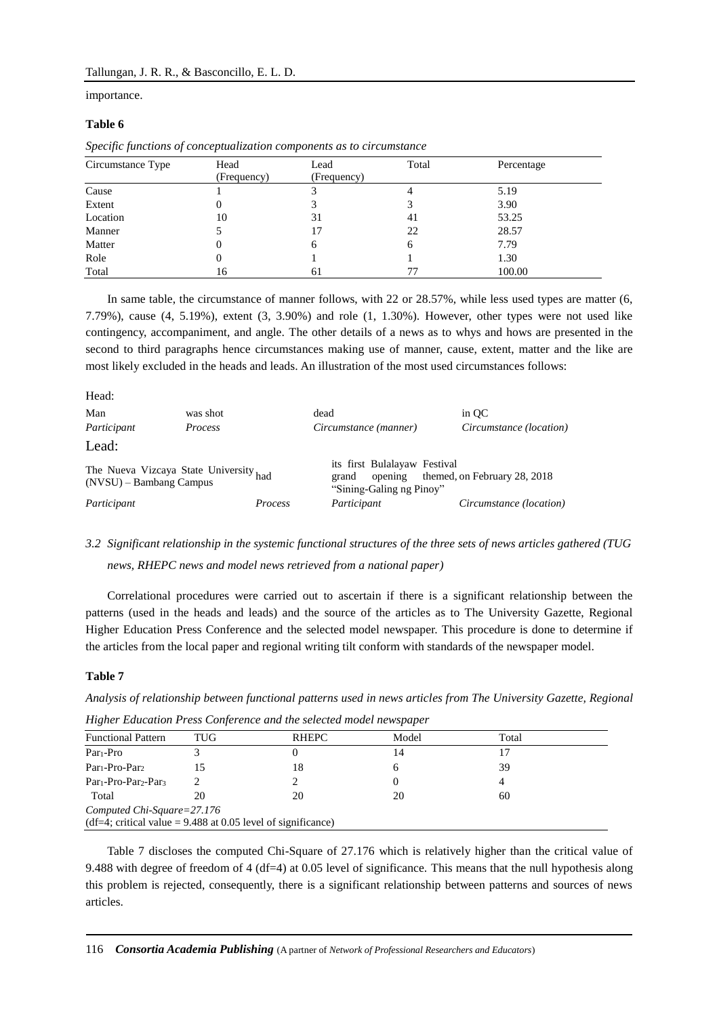importance.

### **Table 6**

| .<br>$\cdot$      |                     |                     |       |            |  |
|-------------------|---------------------|---------------------|-------|------------|--|
| Circumstance Type | Head<br>(Frequency) | Lead<br>(Frequency) | Total | Percentage |  |
|                   |                     |                     |       |            |  |
| Cause             |                     |                     |       | 5.19       |  |
| Extent            |                     |                     |       | 3.90       |  |
| Location          | 10                  | 31                  | 41    | 53.25      |  |
| Manner            |                     | 17                  | 22    | 28.57      |  |
| Matter            |                     | <sub>0</sub>        | h     | 7.79       |  |
| Role              |                     |                     |       | 1.30       |  |
| Total             | 16                  | 61                  |       | 100.00     |  |

*Specific functions of conceptualization components as to circumstance*

In same table, the circumstance of manner follows, with 22 or 28.57%, while less used types are matter (6, 7.79%), cause (4, 5.19%), extent (3, 3.90%) and role (1, 1.30%). However, other types were not used like contingency, accompaniment, and angle. The other details of a news as to whys and hows are presented in the second to third paragraphs hence circumstances making use of manner, cause, extent, matter and the like are most likely excluded in the heads and leads. An illustration of the most used circumstances follows:

| Head:                                                               |                |         |                                                                              |                              |
|---------------------------------------------------------------------|----------------|---------|------------------------------------------------------------------------------|------------------------------|
| Man                                                                 | was shot       | dead    |                                                                              | in OC                        |
| Participant                                                         | <i>Process</i> |         | Circumstance (manner)                                                        | Circumstance (location)      |
| Lead:                                                               |                |         |                                                                              |                              |
| The Nueva Vizcaya State University had<br>$(NVSU)$ – Bambang Campus |                |         | its first Bulalayaw Festival<br>opening<br>grand<br>"Sining-Galing ng Pinoy" | themed, on February 28, 2018 |
| Participant                                                         |                | Process | Participant                                                                  | Circumstance (location)      |

# *3.2 Significant relationship in the systemic functional structures of the three sets of news articles gathered (TUG news, RHEPC news and model news retrieved from a national paper)*

Correlational procedures were carried out to ascertain if there is a significant relationship between the patterns (used in the heads and leads) and the source of the articles as to The University Gazette, Regional Higher Education Press Conference and the selected model newspaper. This procedure is done to determine if the articles from the local paper and regional writing tilt conform with standards of the newspaper model.

#### **Table 7**

*Analysis of relationship between functional patterns used in news articles from The University Gazette, Regional* 

| <b>Functional Pattern</b>                                      | TUG | RHEPC | Model | Total |  |  |
|----------------------------------------------------------------|-----|-------|-------|-------|--|--|
| $Par1-Pro$                                                     |     |       | 14    |       |  |  |
| Par <sub>1</sub> -Pro-Par <sub>2</sub>                         |     | 18    | n     | 39    |  |  |
| Par <sub>1</sub> -Pro-Par <sub>2</sub> -Par <sub>3</sub>       |     |       |       |       |  |  |
| Total                                                          | 20  | 20    | 20    | 60    |  |  |
| Computed Chi-Square=27.176                                     |     |       |       |       |  |  |
| (df=4; critical value = $9.488$ at 0.05 level of significance) |     |       |       |       |  |  |

*Higher Education Press Conference and the selected model newspaper*

Table 7 discloses the computed Chi-Square of 27.176 which is relatively higher than the critical value of 9.488 with degree of freedom of 4 (df=4) at 0.05 level of significance. This means that the null hypothesis along this problem is rejected, consequently, there is a significant relationship between patterns and sources of news articles.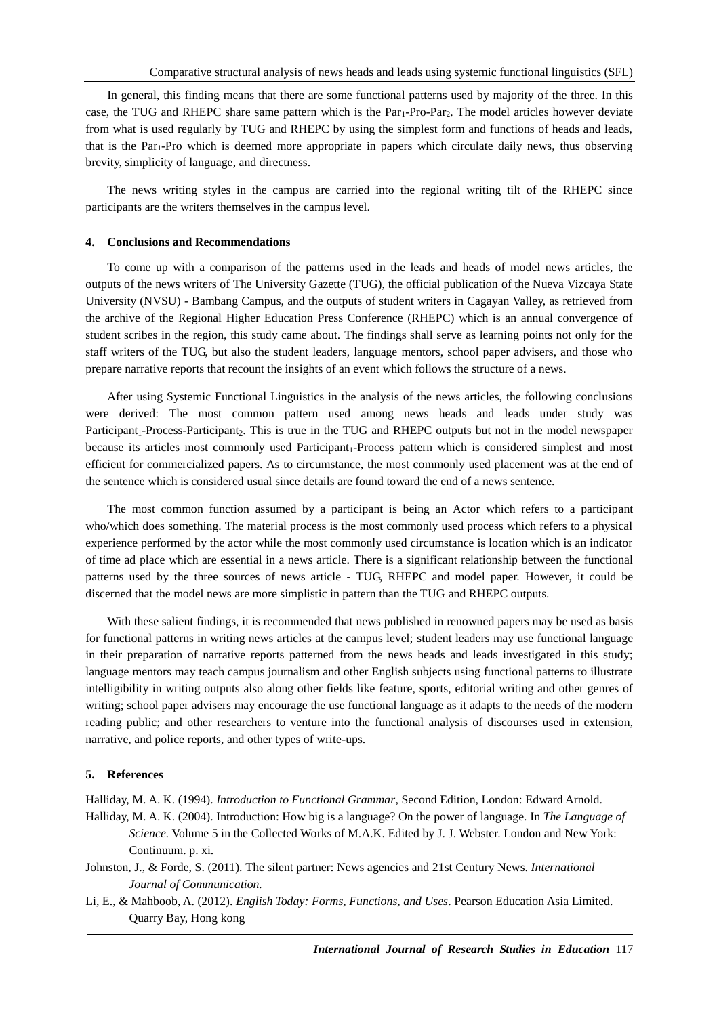In general, this finding means that there are some functional patterns used by majority of the three. In this case, the TUG and RHEPC share same pattern which is the Par<sub>1</sub>-Pro-Par<sub>2</sub>. The model articles however deviate from what is used regularly by TUG and RHEPC by using the simplest form and functions of heads and leads, that is the Par1-Pro which is deemed more appropriate in papers which circulate daily news, thus observing brevity, simplicity of language, and directness.

The news writing styles in the campus are carried into the regional writing tilt of the RHEPC since participants are the writers themselves in the campus level.

#### **4. Conclusions and Recommendations**

To come up with a comparison of the patterns used in the leads and heads of model news articles, the outputs of the news writers of The University Gazette (TUG), the official publication of the Nueva Vizcaya State University (NVSU) - Bambang Campus, and the outputs of student writers in Cagayan Valley, as retrieved from the archive of the Regional Higher Education Press Conference (RHEPC) which is an annual convergence of student scribes in the region, this study came about. The findings shall serve as learning points not only for the staff writers of the TUG, but also the student leaders, language mentors, school paper advisers, and those who prepare narrative reports that recount the insights of an event which follows the structure of a news.

After using Systemic Functional Linguistics in the analysis of the news articles, the following conclusions were derived: The most common pattern used among news heads and leads under study was Participant<sub>1</sub>-Process-Participant<sub>2</sub>. This is true in the TUG and RHEPC outputs but not in the model newspaper because its articles most commonly used Participant<sub>1</sub>-Process pattern which is considered simplest and most efficient for commercialized papers. As to circumstance, the most commonly used placement was at the end of the sentence which is considered usual since details are found toward the end of a news sentence.

The most common function assumed by a participant is being an Actor which refers to a participant who/which does something. The material process is the most commonly used process which refers to a physical experience performed by the actor while the most commonly used circumstance is location which is an indicator of time ad place which are essential in a news article. There is a significant relationship between the functional patterns used by the three sources of news article - TUG, RHEPC and model paper. However, it could be discerned that the model news are more simplistic in pattern than the TUG and RHEPC outputs.

With these salient findings, it is recommended that news published in renowned papers may be used as basis for functional patterns in writing news articles at the campus level; student leaders may use functional language in their preparation of narrative reports patterned from the news heads and leads investigated in this study; language mentors may teach campus journalism and other English subjects using functional patterns to illustrate intelligibility in writing outputs also along other fields like feature, sports, editorial writing and other genres of writing; school paper advisers may encourage the use functional language as it adapts to the needs of the modern reading public; and other researchers to venture into the functional analysis of discourses used in extension, narrative, and police reports, and other types of write-ups.

#### **5. References**

Halliday, M. A. K. (1994). *Introduction to Functional Grammar*, Second Edition, London: Edward Arnold.

Halliday, M. A. K. (2004). Introduction: How big is a language? On the power of language. In *The Language of Science.* Volume 5 in the Collected Works of M.A.K. Edited by J. J. Webster. London and New York: Continuum. p. xi.

Johnston, J., & Forde, S. (2011). The silent partner: News agencies and 21st Century News. *International Journal of Communication.*

Li, E., & Mahboob, A. (2012). *English Today: Forms, Functions, and Uses*. Pearson Education Asia Limited. Quarry Bay, Hong kong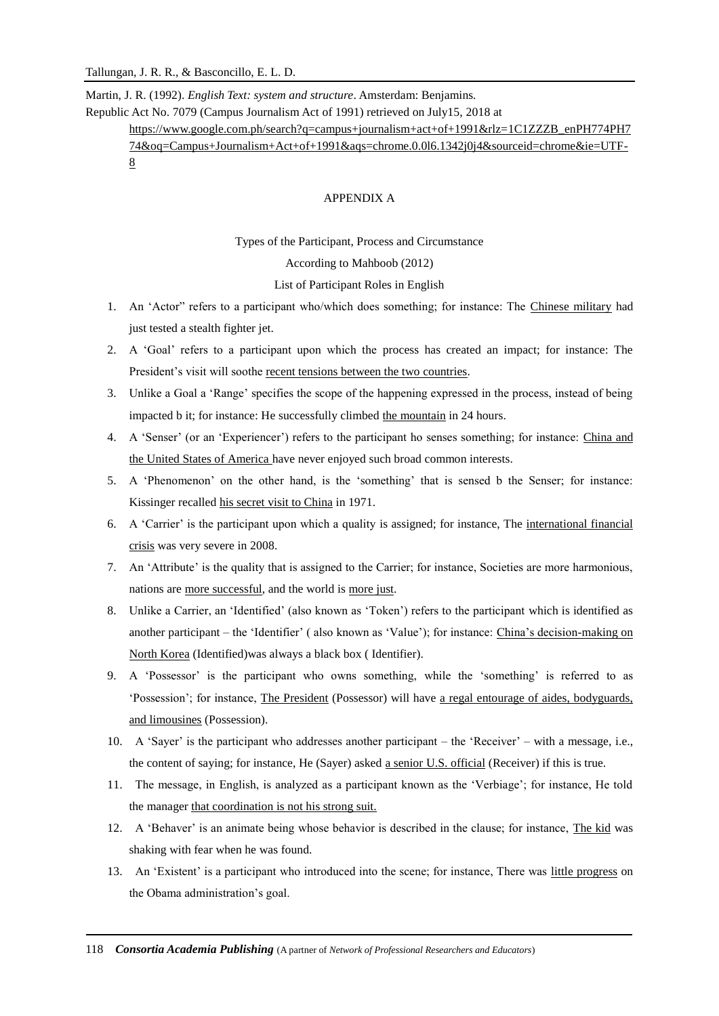Martin, J. R. (1992). *English Text: system and structure*. Amsterdam: Benjamins.

Republic Act No. 7079 (Campus Journalism Act of 1991) retrieved on July15, 2018 at

[https://www.google.com.ph/search?q=campus+journalism+act+of+1991&rlz=1C1ZZZB\\_enPH774PH7](https://www.google.com.ph/search?q=campus+journalism+act+of+1991&rlz=1C1ZZZB_enPH774PH774&oq=Campus+Journalism+Act+of+1991&aqs=chrome.0.0l6.1342j0j4&sourceid=chrome&ie=UTF-8) [74&oq=Campus+Journalism+Act+of+1991&aqs=chrome.0.0l6.1342j0j4&sourceid=chrome&ie=UTF-](https://www.google.com.ph/search?q=campus+journalism+act+of+1991&rlz=1C1ZZZB_enPH774PH774&oq=Campus+Journalism+Act+of+1991&aqs=chrome.0.0l6.1342j0j4&sourceid=chrome&ie=UTF-8)[8](https://www.google.com.ph/search?q=campus+journalism+act+of+1991&rlz=1C1ZZZB_enPH774PH774&oq=Campus+Journalism+Act+of+1991&aqs=chrome.0.0l6.1342j0j4&sourceid=chrome&ie=UTF-8)

# APPENDIX A

Types of the Participant, Process and Circumstance

According to Mahboob (2012)

List of Participant Roles in English

- 1. An 'Actor" refers to a participant who/which does something; for instance: The Chinese military had just tested a stealth fighter jet.
- 2. A 'Goal' refers to a participant upon which the process has created an impact; for instance: The President's visit will soothe recent tensions between the two countries.
- 3. Unlike a Goal a 'Range' specifies the scope of the happening expressed in the process, instead of being impacted b it; for instance: He successfully climbed the mountain in 24 hours.
- 4. A 'Senser' (or an 'Experiencer') refers to the participant ho senses something; for instance: China and the United States of America have never enjoyed such broad common interests.
- 5. A 'Phenomenon' on the other hand, is the 'something' that is sensed b the Senser; for instance: Kissinger recalled his secret visit to China in 1971.
- 6. A 'Carrier' is the participant upon which a quality is assigned; for instance, The international financial crisis was very severe in 2008.
- 7. An 'Attribute' is the quality that is assigned to the Carrier; for instance, Societies are more harmonious, nations are more successful, and the world is more just.
- 8. Unlike a Carrier, an 'Identified' (also known as 'Token') refers to the participant which is identified as another participant – the 'Identifier' ( also known as 'Value'); for instance: China's decision-making on North Korea (Identified)was always a black box ( Identifier).
- 9. A 'Possessor' is the participant who owns something, while the 'something' is referred to as 'Possession'; for instance, The President (Possessor) will have a regal entourage of aides, bodyguards, and limousines (Possession).
- 10. A 'Sayer' is the participant who addresses another participant the 'Receiver' with a message, i.e., the content of saying; for instance, He (Sayer) asked a senior U.S. official (Receiver) if this is true.
- 11. The message, in English, is analyzed as a participant known as the 'Verbiage'; for instance, He told the manager that coordination is not his strong suit.
- 12. A 'Behaver' is an animate being whose behavior is described in the clause; for instance, The kid was shaking with fear when he was found.
- 13. An 'Existent' is a participant who introduced into the scene; for instance, There was little progress on the Obama administration's goal.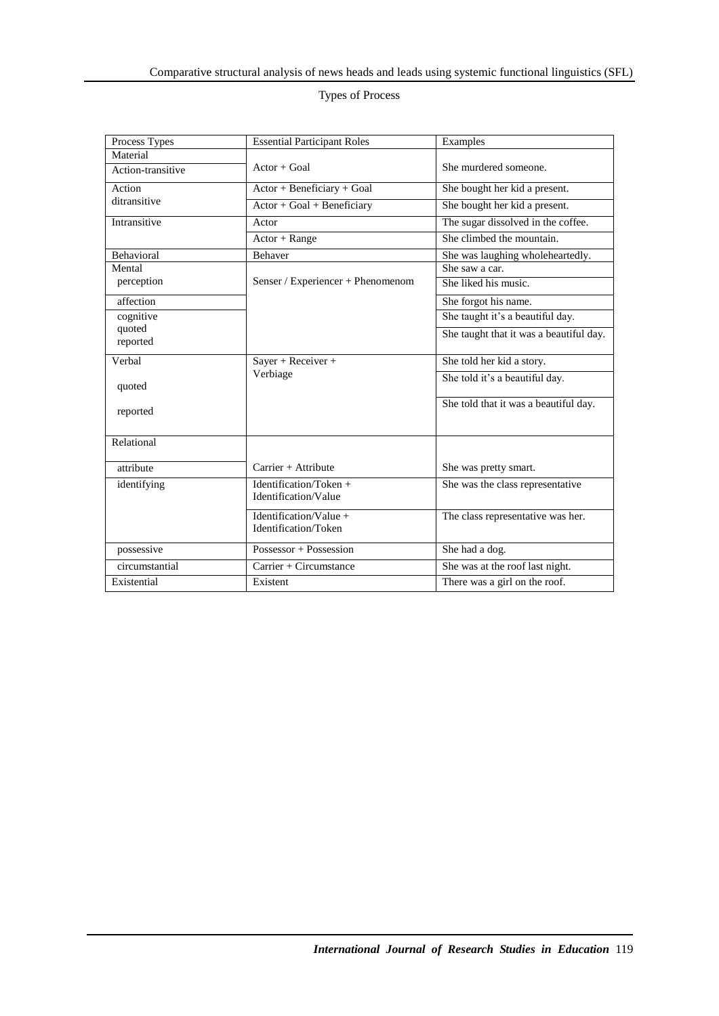# Types of Process

| Process Types     | <b>Essential Participant Roles</b> | Examples                                |  |  |
|-------------------|------------------------------------|-----------------------------------------|--|--|
| Material          |                                    |                                         |  |  |
| Action-transitive | $Actor + Goal$                     | She murdered someone.                   |  |  |
| Action            | Actor + Beneficiary + Goal         | She bought her kid a present.           |  |  |
| ditransitive      | $Actor + Goal + Beneficiency$      | She bought her kid a present.           |  |  |
| Intransitive      | Actor                              | The sugar dissolved in the coffee.      |  |  |
|                   | $\overline{A}ctor + Range$         | She climbed the mountain.               |  |  |
| Behavioral        | Behaver                            | She was laughing wholeheartedly.        |  |  |
| Mental            |                                    | She saw a car.                          |  |  |
| perception        | Senser / Experiencer + Phenomenom  | She liked his music.                    |  |  |
| affection         |                                    | She forgot his name.                    |  |  |
| cognitive         |                                    | She taught it's a beautiful day.        |  |  |
| quoted            |                                    | She taught that it was a beautiful day. |  |  |
| reported          |                                    |                                         |  |  |
| Verbal            | Sayer + Receiver +                 | She told her kid a story.               |  |  |
|                   | Verbiage                           | She told it's a beautiful day.          |  |  |
| quoted            |                                    |                                         |  |  |
| reported          |                                    | She told that it was a beautiful day.   |  |  |
|                   |                                    |                                         |  |  |
| Relational        |                                    |                                         |  |  |
|                   |                                    |                                         |  |  |
| attribute         | $Carrier + Attribute$              | She was pretty smart.                   |  |  |
| identifying       | Identification/Token $+$           | She was the class representative        |  |  |
|                   | Identification/Value               |                                         |  |  |
|                   | Identification/Value +             | The class representative was her.       |  |  |
|                   | Identification/Token               |                                         |  |  |
| possessive        | Possessor + Possession             | She had a dog.                          |  |  |
| circumstantial    | Carrier + Circumstance             | She was at the roof last night.         |  |  |
| Existential       | Existent                           | There was a girl on the roof.           |  |  |